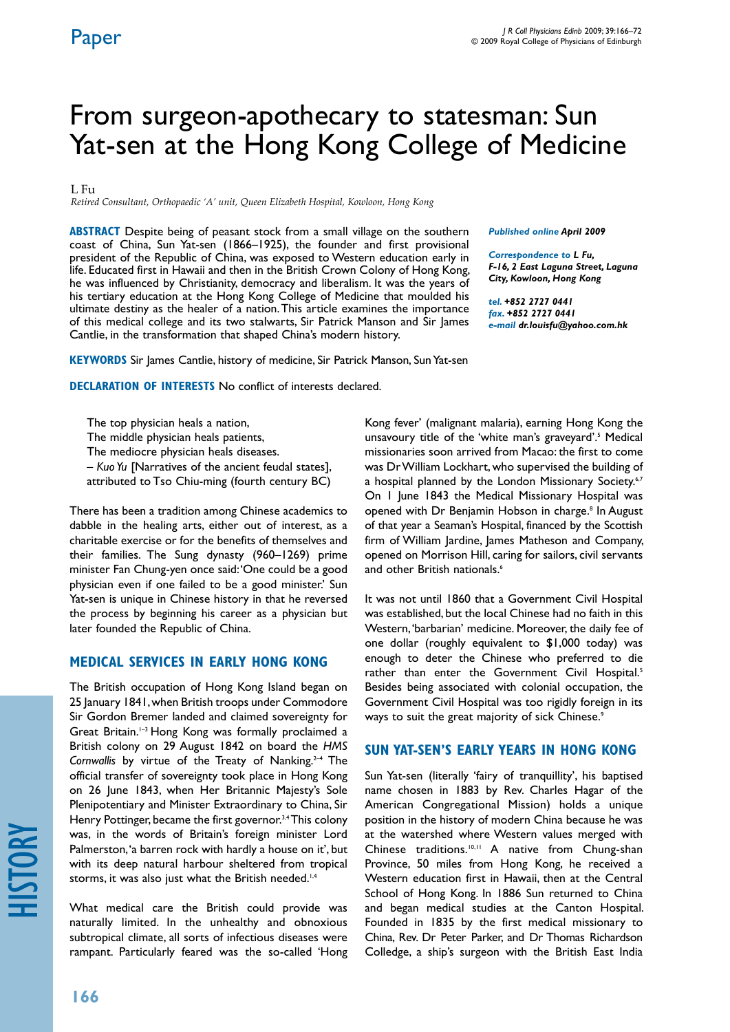*Published online April 2009 Correspondence to L Fu,* 

*tel. +852 2727 0441 fax. +852 2727 0441*

*F-16, 2 East Laguna Street, Laguna City, Kowloon, Hong Kong* 

*e-mail dr.louisfu@yahoo.com.hk*

# From surgeon-apothecary to statesman: Sun Yat-sen at the Hong Kong College of Medicine

### $L$  Fu

*Retired Consultant, Orthopaedic 'A' unit, Queen Elizabeth Hospital, Kowloon, Hong Kong*

**ABSTRACT** Despite being of peasant stock from a small village on the southern coast of China, Sun Yat-sen (1866–1925), the founder and first provisional president of the Republic of China, was exposed to Western education early in life. Educated first in Hawaii and then in the British Crown Colony of Hong Kong, he was influenced by Christianity, democracy and liberalism. It was the years of his tertiary education at the Hong Kong College of Medicine that moulded his ultimate destiny as the healer of a nation. This article examines the importance of this medical college and its two stalwarts, Sir Patrick Manson and Sir James Cantlie, in the transformation that shaped China's modern history.

**KEYWORDS** Sir James Cantlie, history of medicine, Sir Patrick Manson, Sun Yat-sen

**DECLARATION OF INTERESTS** No conflict of interests declared.

The top physician heals a nation,

The middle physician heals patients,

The mediocre physician heals diseases.

– *Kuo Yu* [Narratives of the ancient feudal states],

attributed to Tso Chiu-ming (fourth century BC)

There has been a tradition among Chinese academics to dabble in the healing arts, either out of interest, as a charitable exercise or for the benefits of themselves and their families. The Sung dynasty (960–1269) prime minister Fan Chung-yen once said: 'One could be a good physician even if one failed to be a good minister.' Sun Yat-sen is unique in Chinese history in that he reversed the process by beginning his career as a physician but later founded the Republic of China.

## **MEDICAL SERVICES IN EARLY HONG KONG**

The British occupation of Hong Kong Island began on 25 January 1841, when British troops under Commodore Sir Gordon Bremer landed and claimed sovereignty for Great Britain.1–3 Hong Kong was formally proclaimed a British colony on 29 August 1842 on board the *HMS*  Cornwallis by virtue of the Treaty of Nanking.<sup>2-4</sup> The official transfer of sovereignty took place in Hong Kong on 26 June 1843, when Her Britannic Majesty's Sole Plenipotentiary and Minister Extraordinary to China, Sir Henry Pottinger, became the first governor.<sup>3,4</sup> This colony was, in the words of Britain's foreign minister Lord Palmerston, 'a barren rock with hardly a house on it', but with its deep natural harbour sheltered from tropical storms, it was also just what the British needed.<sup>1,4</sup>

What medical care the British could provide was naturally limited. In the unhealthy and obnoxious subtropical climate, all sorts of infectious diseases were rampant. Particularly feared was the so-called 'Hong

Kong fever' (malignant malaria), earning Hong Kong the unsavoury title of the 'white man's graveyard'.<sup>5</sup> Medical missionaries soon arrived from Macao: the first to come was Dr William Lockhart, who supervised the building of a hospital planned by the London Missionary Society.<sup>6,7</sup> On 1 June 1843 the Medical Missionary Hospital was opened with Dr Benjamin Hobson in charge.<sup>8</sup> In August of that year a Seaman's Hospital, financed by the Scottish firm of William Jardine, James Matheson and Company, opened on Morrison Hill, caring for sailors, civil servants

It was not until 1860 that a Government Civil Hospital was established, but the local Chinese had no faith in this Western, 'barbarian' medicine. Moreover, the daily fee of one dollar (roughly equivalent to \$1,000 today) was enough to deter the Chinese who preferred to die rather than enter the Government Civil Hospital.<sup>5</sup> Besides being associated with colonial occupation, the Government Civil Hospital was too rigidly foreign in its ways to suit the great majority of sick Chinese.<sup>9</sup>

and other British nationals.<sup>6</sup>

## **SUN YAT-SEN'S EARLY YEARS IN HONG KONG**

Sun Yat-sen (literally 'fairy of tranquillity', his baptised name chosen in 1883 by Rev. Charles Hagar of the American Congregational Mission) holds a unique position in the history of modern China because he was at the watershed where Western values merged with Chinese traditions.<sup>10,11</sup> A native from Chung-shan Province, 50 miles from Hong Kong, he received a Western education first in Hawaii, then at the Central School of Hong Kong. In 1886 Sun returned to China and began medical studies at the Canton Hospital. Founded in 1835 by the first medical missionary to China, Rev. Dr Peter Parker, and Dr Thomas Richardson Colledge, a ship's surgeon with the British East India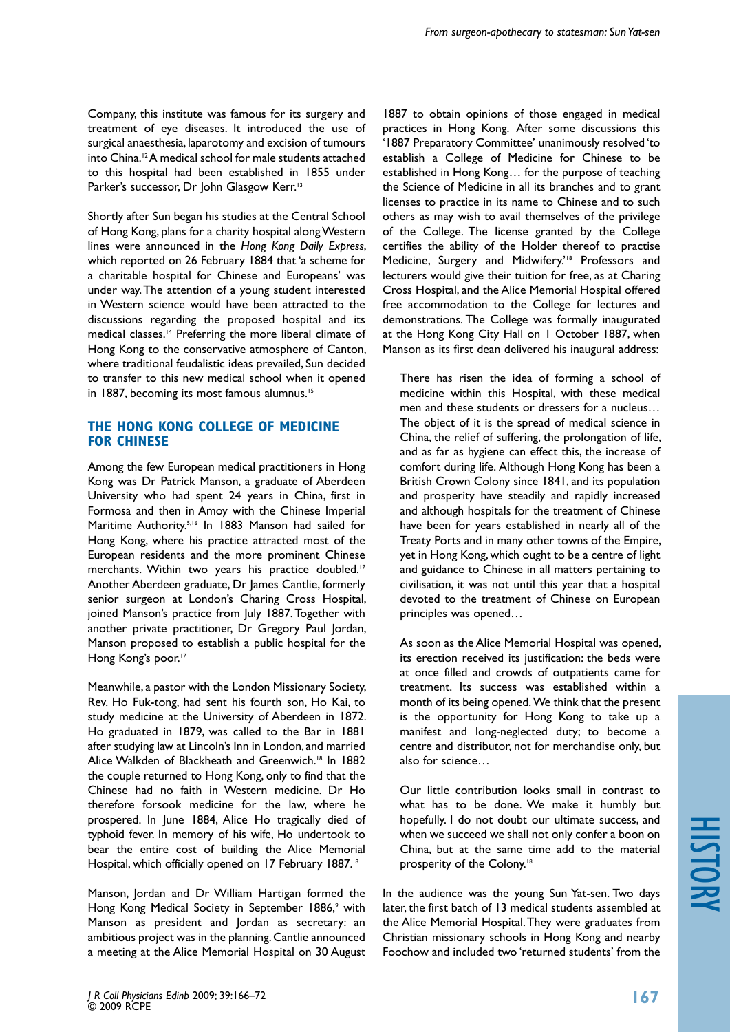Company, this institute was famous for its surgery and treatment of eye diseases. It introduced the use of surgical anaesthesia, laparotomy and excision of tumours into China.12 A medical school for male students attached to this hospital had been established in 1855 under Parker's successor, Dr John Glasgow Kerr.<sup>13</sup>

Shortly after Sun began his studies at the Central School of Hong Kong, plans for a charity hospital along Western lines were announced in the *Hong Kong Daily Express*, which reported on 26 February 1884 that 'a scheme for a charitable hospital for Chinese and Europeans' was under way. The attention of a young student interested in Western science would have been attracted to the discussions regarding the proposed hospital and its medical classes.14 Preferring the more liberal climate of Hong Kong to the conservative atmosphere of Canton, where traditional feudalistic ideas prevailed, Sun decided to transfer to this new medical school when it opened in 1887, becoming its most famous alumnus.<sup>15</sup>

### **THE HONG KONG COLLEGE OF MEDICINE FOR CHINESE**

Among the few European medical practitioners in Hong Kong was Dr Patrick Manson, a graduate of Aberdeen University who had spent 24 years in China, first in Formosa and then in Amoy with the Chinese Imperial Maritime Authority.<sup>5,16</sup> In 1883 Manson had sailed for Hong Kong, where his practice attracted most of the European residents and the more prominent Chinese merchants. Within two years his practice doubled.<sup>17</sup> Another Aberdeen graduate, Dr James Cantlie, formerly senior surgeon at London's Charing Cross Hospital, joined Manson's practice from July 1887. Together with another private practitioner, Dr Gregory Paul Jordan, Manson proposed to establish a public hospital for the Hong Kong's poor.<sup>17</sup>

Meanwhile, a pastor with the London Missionary Society, Rev. Ho Fuk-tong, had sent his fourth son, Ho Kai, to study medicine at the University of Aberdeen in 1872. Ho graduated in 1879, was called to the Bar in 1881 after studying law at Lincoln's Inn in London, and married Alice Walkden of Blackheath and Greenwich.<sup>18</sup> In 1882 the couple returned to Hong Kong, only to find that the Chinese had no faith in Western medicine. Dr Ho therefore forsook medicine for the law, where he prospered. In June 1884, Alice Ho tragically died of typhoid fever. In memory of his wife, Ho undertook to bear the entire cost of building the Alice Memorial Hospital, which officially opened on 17 February 1887.<sup>18</sup>

Manson, Jordan and Dr William Hartigan formed the Hong Kong Medical Society in September 1886,<sup>9</sup> with Manson as president and Jordan as secretary: an ambitious project was in the planning. Cantlie announced a meeting at the Alice Memorial Hospital on 30 August

1887 to obtain opinions of those engaged in medical practices in Hong Kong. After some discussions this '1887 Preparatory Committee' unanimously resolved 'to establish a College of Medicine for Chinese to be established in Hong Kong… for the purpose of teaching the Science of Medicine in all its branches and to grant licenses to practice in its name to Chinese and to such others as may wish to avail themselves of the privilege of the College. The license granted by the College certifies the ability of the Holder thereof to practise Medicine, Surgery and Midwifery.<sup>18</sup> Professors and lecturers would give their tuition for free, as at Charing Cross Hospital, and the Alice Memorial Hospital offered free accommodation to the College for lectures and demonstrations. The College was formally inaugurated at the Hong Kong City Hall on 1 October 1887, when Manson as its first dean delivered his inaugural address:

There has risen the idea of forming a school of medicine within this Hospital, with these medical men and these students or dressers for a nucleus… The object of it is the spread of medical science in China, the relief of suffering, the prolongation of life, and as far as hygiene can effect this, the increase of comfort during life. Although Hong Kong has been a British Crown Colony since 1841, and its population and prosperity have steadily and rapidly increased and although hospitals for the treatment of Chinese have been for years established in nearly all of the Treaty Ports and in many other towns of the Empire, yet in Hong Kong, which ought to be a centre of light and guidance to Chinese in all matters pertaining to civilisation, it was not until this year that a hospital devoted to the treatment of Chinese on European principles was opened…

As soon as the Alice Memorial Hospital was opened, its erection received its justification: the beds were at once filled and crowds of outpatients came for treatment. Its success was established within a month of its being opened. We think that the present is the opportunity for Hong Kong to take up a manifest and long-neglected duty; to become a centre and distributor, not for merchandise only, but also for science…

Our little contribution looks small in contrast to what has to be done. We make it humbly but hopefully. I do not doubt our ultimate success, and when we succeed we shall not only confer a boon on China, but at the same time add to the material prosperity of the Colony.<sup>18</sup>

In the audience was the young Sun Yat-sen. Two days later, the first batch of 13 medical students assembled at the Alice Memorial Hospital. They were graduates from Christian missionary schools in Hong Kong and nearby Foochow and included two 'returned students' from the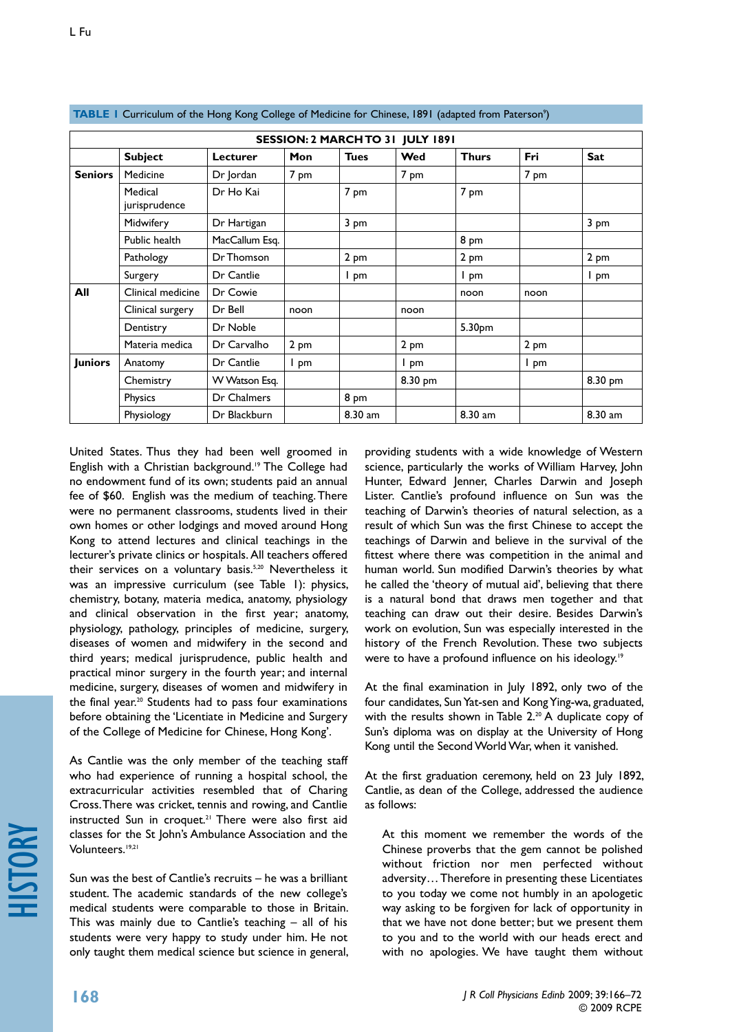| SESSION: 2 MARCH TO 31 JULY 1891 |                          |                |      |             |         |              |      |         |  |  |
|----------------------------------|--------------------------|----------------|------|-------------|---------|--------------|------|---------|--|--|
|                                  | <b>Subject</b>           | Lecturer       | Mon  | <b>Tues</b> | Wed     | <b>Thurs</b> | Fri  | Sat     |  |  |
| <b>Seniors</b>                   | Medicine                 | Dr Jordan      | 7 pm |             | 7 pm    |              | 7 pm |         |  |  |
|                                  | Medical<br>jurisprudence | Dr Ho Kai      |      | 7 pm        |         | 7 pm         |      |         |  |  |
|                                  | Midwifery                | Dr Hartigan    |      | 3 pm        |         |              |      | 3 pm    |  |  |
|                                  | Public health            | MacCallum Esq. |      |             |         | 8 pm         |      |         |  |  |
|                                  | Pathology                | Dr Thomson     |      | 2 pm        |         | 2 pm         |      | 2 pm    |  |  |
|                                  | Surgery                  | Dr Cantlie     |      | I pm        |         | I pm         |      | I pm    |  |  |
| All                              | Clinical medicine        | Dr Cowie       |      |             |         | noon         | noon |         |  |  |
|                                  | Clinical surgery         | Dr Bell        | noon |             | noon    |              |      |         |  |  |
|                                  | Dentistry                | Dr Noble       |      |             |         | 5.30pm       |      |         |  |  |
|                                  | Materia medica           | Dr Carvalho    | 2 pm |             | 2 pm    |              | 2 pm |         |  |  |
| <b>Juniors</b>                   | Anatomy                  | Dr Cantlie     | I pm |             | I pm    |              | I pm |         |  |  |
|                                  | Chemistry                | W Watson Esg.  |      |             | 8.30 pm |              |      | 8.30 pm |  |  |
|                                  | Physics                  | Dr Chalmers    |      | 8 pm        |         |              |      |         |  |  |
|                                  | Physiology               | Dr Blackburn   |      | 8.30 am     |         | 8.30 am      |      | 8.30 am |  |  |

#### **TABLE 1** Curriculum of the Hong Kong College of Medicine for Chinese, 1891 (adapted from Paterson<sup>9</sup>)

United States. Thus they had been well groomed in English with a Christian background.<sup>19</sup> The College had no endowment fund of its own; students paid an annual fee of \$60. English was the medium of teaching. There were no permanent classrooms, students lived in their own homes or other lodgings and moved around Hong Kong to attend lectures and clinical teachings in the lecturer's private clinics or hospitals. All teachers offered their services on a voluntary basis.<sup>5,20</sup> Nevertheless it was an impressive curriculum (see Table 1): physics, chemistry, botany, materia medica, anatomy, physiology and clinical observation in the first year; anatomy, physiology, pathology, principles of medicine, surgery, diseases of women and midwifery in the second and third years; medical jurisprudence, public health and practical minor surgery in the fourth year; and internal medicine, surgery, diseases of women and midwifery in the final year.<sup>20</sup> Students had to pass four examinations before obtaining the 'Licentiate in Medicine and Surgery of the College of Medicine for Chinese, Hong Kong'.

As Cantlie was the only member of the teaching staff who had experience of running a hospital school, the extracurricular activities resembled that of Charing Cross. There was cricket, tennis and rowing, and Cantlie instructed Sun in croquet.<sup>21</sup> There were also first aid classes for the St John's Ambulance Association and the Volunteers.<sup>19,21</sup>

Sun was the best of Cantlie's recruits – he was a brilliant student. The academic standards of the new college's medical students were comparable to those in Britain. This was mainly due to Cantlie's teaching – all of his students were very happy to study under him. He not only taught them medical science but science in general, providing students with a wide knowledge of Western science, particularly the works of William Harvey, John Hunter, Edward Jenner, Charles Darwin and Joseph Lister. Cantlie's profound influence on Sun was the teaching of Darwin's theories of natural selection, as a result of which Sun was the first Chinese to accept the teachings of Darwin and believe in the survival of the fittest where there was competition in the animal and human world. Sun modified Darwin's theories by what he called the 'theory of mutual aid', believing that there is a natural bond that draws men together and that teaching can draw out their desire. Besides Darwin's work on evolution, Sun was especially interested in the history of the French Revolution. These two subjects were to have a profound influence on his ideology.<sup>19</sup>

At the final examination in July 1892, only two of the four candidates, Sun Yat-sen and Kong Ying-wa, graduated, with the results shown in Table 2.<sup>20</sup> A duplicate copy of Sun's diploma was on display at the University of Hong Kong until the Second World War, when it vanished.

At the first graduation ceremony, held on 23 July 1892, Cantlie, as dean of the College, addressed the audience as follows:

At this moment we remember the words of the Chinese proverbs that the gem cannot be polished without friction nor men perfected without adversity… Therefore in presenting these Licentiates to you today we come not humbly in an apologetic way asking to be forgiven for lack of opportunity in that we have not done better; but we present them to you and to the world with our heads erect and with no apologies. We have taught them without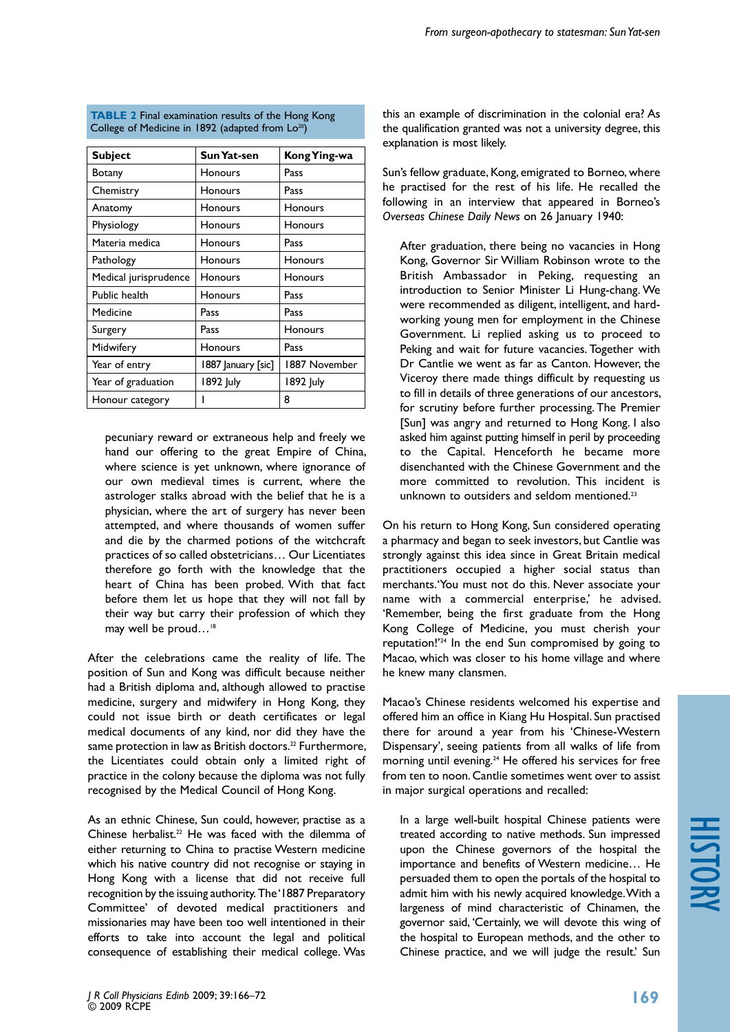| From surgeon-apothecary to statesman: Sun Yat-sen |  |  |
|---------------------------------------------------|--|--|
|---------------------------------------------------|--|--|

| <b>Subject</b>        | Sun Yat-sen        | Kong Ying-wa  |  |
|-----------------------|--------------------|---------------|--|
| Botany                | Honours            | Pass          |  |
| Chemistry             | Honours            | Pass          |  |
| Anatomy               | Honours            | Honours       |  |
| Physiology            | <b>Honours</b>     | Honours       |  |
| Materia medica        | Honours            | Pass          |  |
| Pathology             | Honours            | Honours       |  |
| Medical jurisprudence | Honours            | Honours       |  |
| Public health         | Honours            | Pass          |  |
| Medicine              | Pass               | Pass          |  |
| Surgery               | Pass               | Honours       |  |
| Midwifery             | Honours            | Pass          |  |
| Year of entry         | 1887 January [sic] | 1887 November |  |
| Year of graduation    | 1892 July          | 1892 July     |  |
| Honour category       |                    | 8             |  |

**TABLE 2 Final examination results of the Hong Kong** College of Medicine in 1892 (adapted from Lo<sup>20</sup>)

pecuniary reward or extraneous help and freely we hand our offering to the great Empire of China, where science is yet unknown, where ignorance of our own medieval times is current, where the astrologer stalks abroad with the belief that he is a physician, where the art of surgery has never been attempted, and where thousands of women suffer and die by the charmed potions of the witchcraft practices of so called obstetricians… Our Licentiates therefore go forth with the knowledge that the heart of China has been probed. With that fact before them let us hope that they will not fall by their way but carry their profession of which they may well be proud...<sup>18</sup>

After the celebrations came the reality of life. The position of Sun and Kong was difficult because neither had a British diploma and, although allowed to practise medicine, surgery and midwifery in Hong Kong, they could not issue birth or death certificates or legal medical documents of any kind, nor did they have the same protection in law as British doctors.<sup>22</sup> Furthermore, the Licentiates could obtain only a limited right of practice in the colony because the diploma was not fully recognised by the Medical Council of Hong Kong.

As an ethnic Chinese, Sun could, however, practise as a Chinese herbalist.<sup>22</sup> He was faced with the dilemma of either returning to China to practise Western medicine which his native country did not recognise or staying in Hong Kong with a license that did not receive full recognition by the issuing authority. The '1887 Preparatory Committee' of devoted medical practitioners and missionaries may have been too well intentioned in their efforts to take into account the legal and political consequence of establishing their medical college. Was

this an example of discrimination in the colonial era? As the qualification granted was not a university degree, this explanation is most likely.

Sun's fellow graduate, Kong, emigrated to Borneo, where he practised for the rest of his life. He recalled the following in an interview that appeared in Borneo's *Overseas Chinese Daily News* on 26 January 1940:

After graduation, there being no vacancies in Hong Kong, Governor Sir William Robinson wrote to the British Ambassador in Peking, requesting an introduction to Senior Minister Li Hung-chang. We were recommended as diligent, intelligent, and hardworking young men for employment in the Chinese Government. Li replied asking us to proceed to Peking and wait for future vacancies. Together with Dr Cantlie we went as far as Canton. However, the Viceroy there made things difficult by requesting us to fill in details of three generations of our ancestors, for scrutiny before further processing. The Premier [Sun] was angry and returned to Hong Kong. I also asked him against putting himself in peril by proceeding to the Capital. Henceforth he became more disenchanted with the Chinese Government and the more committed to revolution. This incident is unknown to outsiders and seldom mentioned.<sup>23</sup>

On his return to Hong Kong, Sun considered operating a pharmacy and began to seek investors, but Cantlie was strongly against this idea since in Great Britain medical practitioners occupied a higher social status than merchants.'You must not do this. Never associate your name with a commercial enterprise,' he advised. 'Remember, being the first graduate from the Hong Kong College of Medicine, you must cherish your reputation!'24 In the end Sun compromised by going to Macao, which was closer to his home village and where he knew many clansmen.

Macao's Chinese residents welcomed his expertise and offered him an office in Kiang Hu Hospital. Sun practised there for around a year from his 'Chinese-Western Dispensary', seeing patients from all walks of life from morning until evening.24 He offered his services for free from ten to noon. Cantlie sometimes went over to assist in major surgical operations and recalled:

In a large well-built hospital Chinese patients were treated according to native methods. Sun impressed upon the Chinese governors of the hospital the importance and benefits of Western medicine… He persuaded them to open the portals of the hospital to admit him with his newly acquired knowledge. With a largeness of mind characteristic of Chinamen, the governor said, 'Certainly, we will devote this wing of the hospital to European methods, and the other to Chinese practice, and we will judge the result.' Sun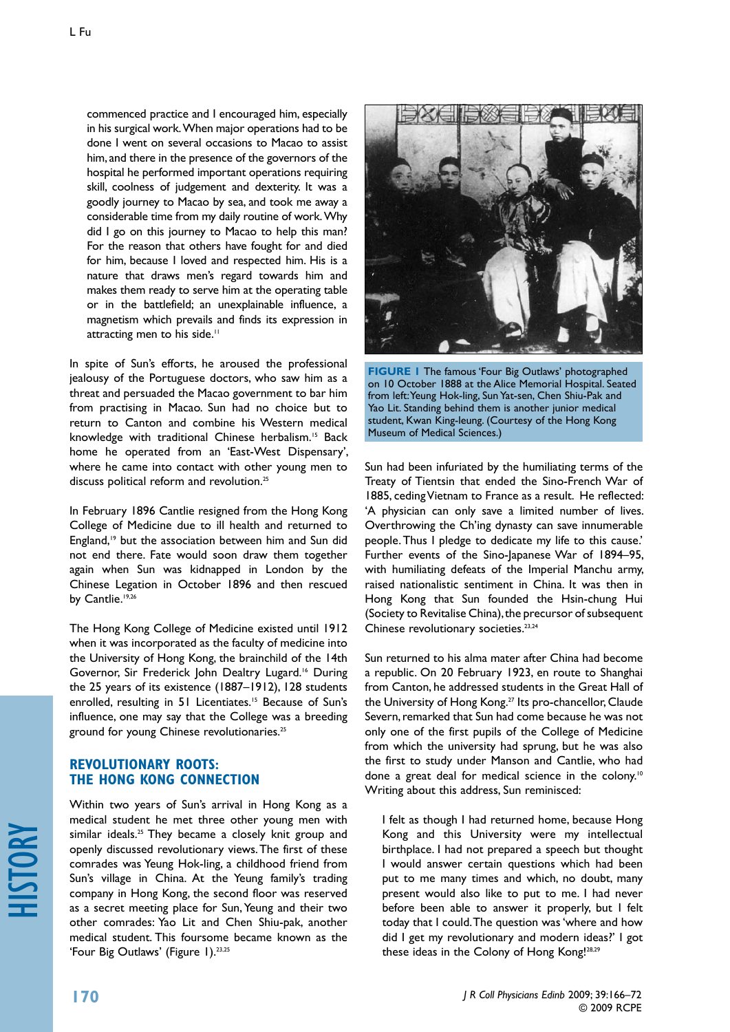commenced practice and I encouraged him, especially in his surgical work. When major operations had to be done I went on several occasions to Macao to assist him, and there in the presence of the governors of the hospital he performed important operations requiring skill, coolness of judgement and dexterity. It was a goodly journey to Macao by sea, and took me away a considerable time from my daily routine of work. Why did I go on this journey to Macao to help this man? For the reason that others have fought for and died for him, because I loved and respected him. His is a nature that draws men's regard towards him and makes them ready to serve him at the operating table or in the battlefield; an unexplainable influence, a magnetism which prevails and finds its expression in attracting men to his side.<sup>11</sup>

In spite of Sun's efforts, he aroused the professional jealousy of the Portuguese doctors, who saw him as a threat and persuaded the Macao government to bar him from practising in Macao. Sun had no choice but to return to Canton and combine his Western medical knowledge with traditional Chinese herbalism.15 Back home he operated from an 'East-West Dispensary', where he came into contact with other young men to discuss political reform and revolution.<sup>25</sup>

In February 1896 Cantlie resigned from the Hong Kong College of Medicine due to ill health and returned to England,<sup>19</sup> but the association between him and Sun did not end there. Fate would soon draw them together again when Sun was kidnapped in London by the Chinese Legation in October 1896 and then rescued by Cantlie.<sup>19,26</sup>

The Hong Kong College of Medicine existed until 1912 when it was incorporated as the faculty of medicine into the University of Hong Kong, the brainchild of the 14th Governor, Sir Frederick John Dealtry Lugard.<sup>16</sup> During the 25 years of its existence (1887–1912), 128 students enrolled, resulting in 51 Licentiates.<sup>15</sup> Because of Sun's influence, one may say that the College was a breeding ground for young Chinese revolutionaries.25

## **REVOLUTIONARY ROOTS: THE HONG KONG CONNECTION**

Within two years of Sun's arrival in Hong Kong as a medical student he met three other young men with similar ideals.<sup>25</sup> They became a closely knit group and openly discussed revolutionary views. The first of these comrades was Yeung Hok-ling, a childhood friend from Sun's village in China. At the Yeung family's trading company in Hong Kong, the second floor was reserved as a secret meeting place for Sun, Yeung and their two other comrades: Yao Lit and Chen Shiu-pak, another medical student. This foursome became known as the 'Four Big Outlaws' (Figure 1).<sup>23,25</sup>



**FIGURE 1** The famous 'Four Big Outlaws' photographed on 10 October 1888 at the Alice Memorial Hospital. Seated from left: Yeung Hok-ling, Sun Yat-sen, Chen Shiu-Pak and Yao Lit. Standing behind them is another junior medical student, Kwan King-leung. (Courtesy of the Hong Kong Museum of Medical Sciences.)

Sun had been infuriated by the humiliating terms of the Treaty of Tientsin that ended the Sino-French War of 1885, ceding Vietnam to France as a result. He reflected: 'A physician can only save a limited number of lives. Overthrowing the Ch'ing dynasty can save innumerable people. Thus I pledge to dedicate my life to this cause.' Further events of the Sino-Japanese War of 1894–95, with humiliating defeats of the Imperial Manchu army, raised nationalistic sentiment in China. It was then in Hong Kong that Sun founded the Hsin-chung Hui (Society to Revitalise China), the precursor of subsequent Chinese revolutionary societies.<sup>23,24</sup>

Sun returned to his alma mater after China had become a republic. On 20 February 1923, en route to Shanghai from Canton, he addressed students in the Great Hall of the University of Hong Kong.<sup>27</sup> Its pro-chancellor, Claude Severn, remarked that Sun had come because he was not only one of the first pupils of the College of Medicine from which the university had sprung, but he was also the first to study under Manson and Cantlie, who had done a great deal for medical science in the colony.<sup>10</sup> Writing about this address, Sun reminisced:

I felt as though I had returned home, because Hong Kong and this University were my intellectual birthplace. I had not prepared a speech but thought I would answer certain questions which had been put to me many times and which, no doubt, many present would also like to put to me. I had never before been able to answer it properly, but I felt today that I could. The question was 'where and how did I get my revolutionary and modern ideas?' I got these ideas in the Colony of Hong Kong!28,29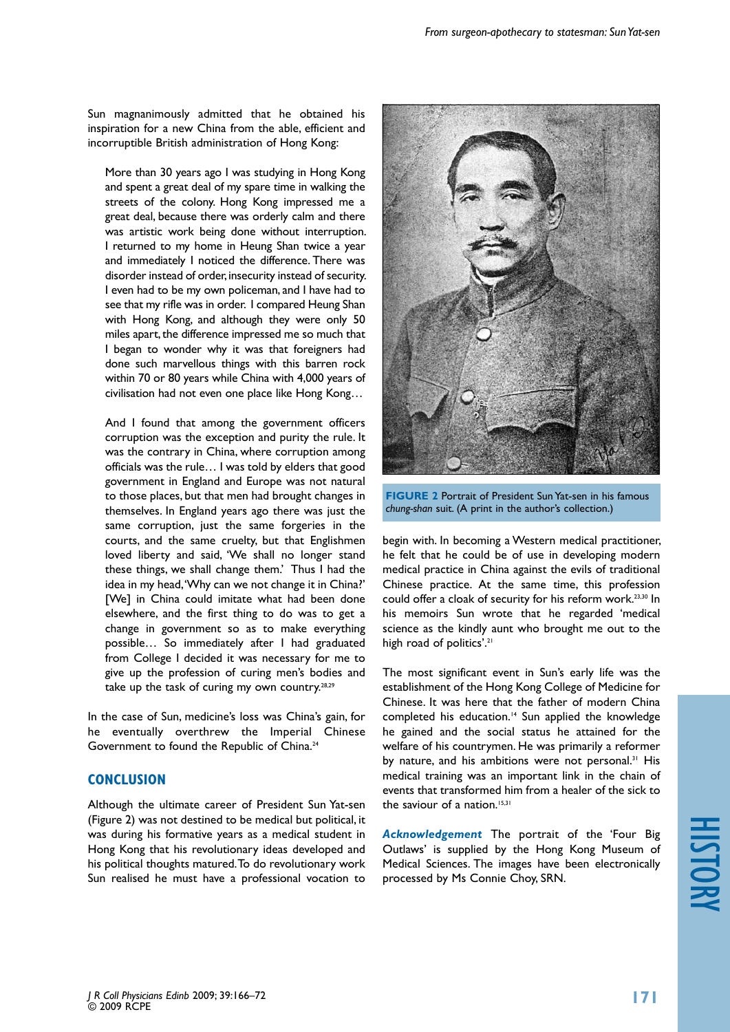Sun magnanimously admitted that he obtained his inspiration for a new China from the able, efficient and incorruptible British administration of Hong Kong:

More than 30 years ago I was studying in Hong Kong and spent a great deal of my spare time in walking the streets of the colony. Hong Kong impressed me a great deal, because there was orderly calm and there was artistic work being done without interruption. I returned to my home in Heung Shan twice a year and immediately I noticed the difference. There was disorder instead of order, insecurity instead of security. I even had to be my own policeman, and I have had to see that my rifle was in order. I compared Heung Shan with Hong Kong, and although they were only 50 miles apart, the difference impressed me so much that I began to wonder why it was that foreigners had done such marvellous things with this barren rock within 70 or 80 years while China with 4,000 years of civilisation had not even one place like Hong Kong…

And I found that among the government officers corruption was the exception and purity the rule. It was the contrary in China, where corruption among officials was the rule… I was told by elders that good government in England and Europe was not natural to those places, but that men had brought changes in themselves. In England years ago there was just the same corruption, just the same forgeries in the courts, and the same cruelty, but that Englishmen loved liberty and said, 'We shall no longer stand these things, we shall change them.' Thus I had the idea in my head, 'Why can we not change it in China?' [We] in China could imitate what had been done elsewhere, and the first thing to do was to get a change in government so as to make everything possible… So immediately after I had graduated from College I decided it was necessary for me to give up the profession of curing men's bodies and take up the task of curing my own country.28,29

In the case of Sun, medicine's loss was China's gain, for he eventually overthrew the Imperial Chinese Government to found the Republic of China.<sup>24</sup>

## **CONCLUSION**

Although the ultimate career of President Sun Yat-sen (Figure 2) was not destined to be medical but political, it was during his formative years as a medical student in Hong Kong that his revolutionary ideas developed and his political thoughts matured. To do revolutionary work Sun realised he must have a professional vocation to



**FIGURE 2** Portrait of President Sun Yat-sen in his famous *chung-shan* suit. (A print in the author's collection.)

begin with. In becoming a Western medical practitioner, he felt that he could be of use in developing modern medical practice in China against the evils of traditional Chinese practice. At the same time, this profession could offer a cloak of security for his reform work.23,30 In his memoirs Sun wrote that he regarded 'medical science as the kindly aunt who brought me out to the high road of politics'.<sup>21</sup>

The most significant event in Sun's early life was the establishment of the Hong Kong College of Medicine for Chinese. It was here that the father of modern China completed his education.<sup>14</sup> Sun applied the knowledge he gained and the social status he attained for the welfare of his countrymen. He was primarily a reformer by nature, and his ambitions were not personal.<sup>31</sup> His medical training was an important link in the chain of events that transformed him from a healer of the sick to the saviour of a nation.<sup>15,31</sup>

*Acknowledgement* The portrait of the 'Four Big Outlaws' is supplied by the Hong Kong Museum of Medical Sciences. The images have been electronically processed by Ms Connie Choy, SRN.